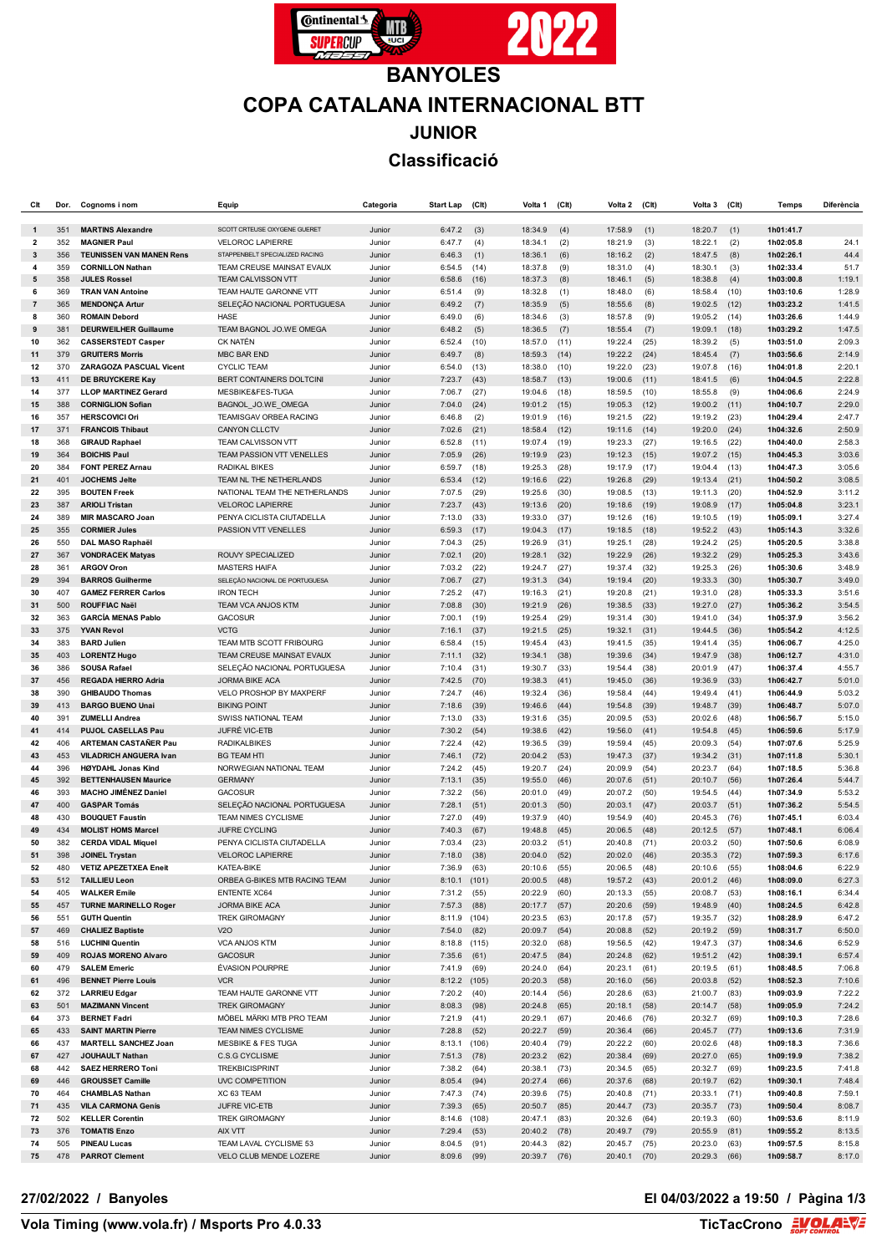

## **BANYOLES COPA CATALANA INTERNACIONAL BTT JUNIOR Classificació**

| СIt                     | Dor.       | Cognoms i nom                                             | Equip                                  | Categoria        | <b>Start Lap</b>         | (C <sub>l</sub> ) | Volta 1            | $($ Clt $)$  | Volta 2            | (C <sub>It</sub> ) | Volta 3            | $($ Clt $)$  | <b>Temps</b>           | Diferència       |
|-------------------------|------------|-----------------------------------------------------------|----------------------------------------|------------------|--------------------------|-------------------|--------------------|--------------|--------------------|--------------------|--------------------|--------------|------------------------|------------------|
| $\mathbf 1$             | 351        | <b>MARTINS Alexandre</b>                                  | SCOTT CRTEUSE OXYGENE GUERET           | Junior           | 6:47.2                   | (3)               | 18:34.9            | (4)          | 17:58.9            | (1)                | 18:20.7            | (1)          | 1h01:41.7              |                  |
| $\overline{\mathbf{2}}$ | 352        | <b>MAGNIER Paul</b>                                       | <b>VELOROC LAPIERRE</b>                | Junior           | 6:47.7                   | (4)               | 18:34.1            | (2)          | 18:21.9            | (3)                | 18:22.1            | (2)          | 1h02:05.8              | 24.1             |
| 3                       | 356        | <b>TEUNISSEN VAN MANEN Rens</b>                           | STAPPENBELT SPECIALIZED RACING         | Junior           | 6:46.3                   | (1)               | 18:36.1            | (6)          | 18:16.2            | (2)                | 18:47.5            | (8)          | 1h02:26.1              | 44.4             |
| 4                       | 359        | <b>CORNILLON Nathan</b>                                   | TEAM CREUSE MAINSAT EVAUX              | Junior           | 6:54.5                   | (14)              | 18:37.8            | (9)          | 18:31.0            | (4)                | 18:30.1            | (3)          | 1h02:33.4              | 51.7             |
| 5                       | 358        | <b>JULES Rossel</b>                                       | TEAM CALVISSON VTT                     | Junior           | 6:58.6                   | (16)              | 18:37.3            | (8)          | 18:46.1            | (5)                | 18:38.8            | (4)          | 1h03:00.8              | 1:19.1           |
| 6                       | 369        | <b>TRAN VAN Antoine</b>                                   | TEAM HAUTE GARONNE VTT                 | Junior           | 6:51.4                   | (9)               | 18:32.8            | (1)          | 18:48.0            | (6)                | 18:58.4            | (10)         | 1h03:10.6              | 1:28.9           |
| $\overline{7}$          | 365        | <b>MENDONÇA Artur</b>                                     | SELEÇÃO NACIONAL PORTUGUESA            | Junior           | 6:49.2                   | (7)               | 18:35.9            | (5)          | 18:55.6            | (8)                | 19:02.5            | (12)         | 1h03:23.2              | 1:41.5           |
| 8                       | 360        | <b>ROMAIN Debord</b>                                      | <b>HASE</b><br>TEAM BAGNOL JO.WE OMEGA | Junior           | 6:49.0                   | (6)               | 18:34.6            | (3)          | 18:57.8            | (9)                | 19:05.2            | (14)         | 1h03:26.6              | 1:44.9<br>1:47.5 |
| 9<br>10                 | 381<br>362 | <b>DEURWEILHER Guillaume</b><br><b>CASSERSTEDT Casper</b> | <b>CK NATÉN</b>                        | Junior<br>Junior | 6:48.2<br>6:52.4         | (5)<br>(10)       | 18:36.5<br>18:57.0 | (7)<br>(11)  | 18:55.4<br>19:22.4 | (7)<br>(25)        | 19:09.1<br>18:39.2 | (18)<br>(5)  | 1h03:29.2<br>1h03:51.0 | 2:09.3           |
| 11                      | 379        | <b>GRUITERS Morris</b>                                    | <b>MBC BAR END</b>                     | Junior           | 6:49.7                   | (8)               | 18:59.3            | (14)         | 19:22.2            | (24)               | 18:45.4            | (7)          | 1h03:56.6              | 2:14.9           |
| 12                      | 370        | ZARAGOZA PASCUAL Vicent                                   | <b>CYCLIC TEAM</b>                     | Junior           | 6:54.0                   | (13)              | 18:38.0            | (10)         | 19:22.0            | (23)               | 19:07.8            | (16)         | 1h04:01.8              | 2:20.1           |
| 13                      | 411        | DE BRUYCKERE Kay                                          | BERT CONTAINERS DOLTCINI               | Junior           | 7:23.7                   | (43)              | 18:58.7            | (13)         | 19:00.6            | (11)               | 18:41.5            | (6)          | 1h04:04.5              | 2:22.8           |
| 14                      | 377        | <b>LLOP MARTINEZ Gerard</b>                               | MESBIKE&FES-TUGA                       | Junior           | 7:06.7                   | (27)              | 19:04.6            | (18)         | 18:59.5            | (10)               | 18:55.8            | (9)          | 1h04:06.6              | 2:24.9           |
| 15                      | 388        | <b>CORNIGLION Sofiar</b>                                  | BAGNOL JO.WE OMEGA                     | Junior           | 7:04.0                   | (24)              | 19:01.2            | (15)         | 19:05.3            | (12)               | 19:00.2            | (11)         | 1h04:10.7              | 2:29.0           |
| 16                      | 357        | <b>HERSCOVICI Ori</b>                                     | TEAMISGAV ORBEA RACING                 | Junior           | 6:46.8                   | (2)               | 19:01.9            | (16)         | 19:21.5            | (22)               | 19:19.2            | (23)         | 1h04:29.4              | 2:47.7           |
| 17                      | 371        | <b>FRANCOIS Thibaut</b>                                   | CANYON CLLCTV                          | Junior           | 7:02.6                   | (21)              | 18:58.4            | (12)         | 19:11.6            | (14)               | 19:20.0            | (24)         | 1h04:32.6              | 2:50.9           |
| 18                      | 368        | <b>GIRAUD Raphael</b>                                     | TEAM CALVISSON VTT                     | Junior           | 6:52.8                   | (11)              | 19:07.4            | (19)         | 19:23.3            | (27)               | 19:16.5            | (22)         | 1h04:40.0              | 2:58.3           |
| 19                      | 364        | <b>BOICHIS Paul</b>                                       | TEAM PASSION VTT VENELLES              | Junior           | 7:05.9                   | (26)              | 19:19.9            | (23)         | 19:12.3            | (15)               | 19:07.2            | (15)         | 1h04:45.3              | 3:03.6           |
| 20                      | 384        | <b>FONT PEREZ Arnau</b>                                   | <b>RADIKAL BIKES</b>                   | Junior           | 6:59.7                   | (18)              | 19:25.3            | (28)         | 19:17.9            | (17)               | 19:04.4            | (13)         | 1h04:47.3              | 3:05.6           |
| 21                      | 401        | <b>JOCHEMS Jelte</b>                                      | TEAM NL THE NETHERLANDS                | Junior           | 6:53.4                   | (12)              | 19:16.6            | (22)         | 19:26.8            | (29)               | 19:13.4            | (21)         | 1h04:50.2              | 3:08.5           |
| 22                      | 395        | <b>BOUTEN Freek</b>                                       | NATIONAL TEAM THE NETHERLANDS          | Junior           | 7:07.5                   | (29)              | 19:25.6            | (30)         | 19:08.5            | (13)               | 19:11.3            | (20)         | 1h04:52.9              | 3:11.2           |
| 23                      | 387        | <b>ARIOLI Tristan</b>                                     | <b>VELOROC LAPIERRE</b>                | Junior           | 7:23.7                   | (43)              | 19:13.6            | (20)         | 19:18.6            | (19)               | 19:08.9            | (17)         | 1h05:04.8              | 3:23.1           |
| 24                      | 389        | <b>MIR MASCARO Joan</b>                                   | PENYA CICLISTA CIUTADELLA              | Junior           | 7:13.0                   | (33)              | 19:33.0            | (37)         | 19:12.6            | (16)               | 19:10.5            | (19)         | 1h05:09.1              | 3:27.4           |
| 25<br>26                | 355<br>550 | <b>CORMIER Jules</b>                                      | PASSION VTT VENELLES                   | Junior           | 6:59.3                   | (17)              | 19:04.3<br>19:26.9 | (17)         | 19:18.5            | (18)<br>(28)       | 19:52.2            | (43)         | 1h05:14.3<br>1h05:20.5 | 3:32.6<br>3:38.8 |
| 27                      | 367        | DAL MASO Raphaël<br><b>VONDRACEK Matyas</b>               | ROUVY SPECIALIZED                      | Junior<br>Junior | 7:04.3<br>7:02.1         | (25)<br>(20)      | 19:28.1            | (31)<br>(32) | 19:25.1<br>19:22.9 | (26)               | 19:24.2<br>19:32.2 | (25)<br>(29) | 1h05:25.3              | 3:43.6           |
| 28                      | 361        | <b>ARGOV Oron</b>                                         | <b>MASTERS HAIFA</b>                   | Junior           | 7:03.2                   | (22)              | 19:24.7            | (27)         | 19:37.4            | (32)               | 19:25.3            | (26)         | 1h05:30.6              | 3:48.9           |
| 29                      | 394        | <b>BARROS Guilherme</b>                                   | SELEÇÃO NACIONAL DE PORTUGUESA         | Junior           | 7:06.7                   | (27)              | 19:31.3            | (34)         | 19:19.4            | (20)               | 19:33.3            | (30)         | 1h05:30.7              | 3:49.0           |
| 30                      | 407        | <b>GAMEZ FERRER Carlos</b>                                | <b>IRON TECH</b>                       | Junior           | 7:25.2                   | (47)              | 19:16.3            | (21)         | 19:20.8            | (21)               | 19:31.0            | (28)         | 1h05:33.3              | 3:51.6           |
| 31                      | 500        | <b>ROUFFIAC Naël</b>                                      | <b>TEAM VCA ANJOS KTM</b>              | Junior           | 7:08.8                   | (30)              | 19:21.9            | (26)         | 19:38.5            | (33)               | 19:27.0            | (27)         | 1h05:36.2              | 3:54.5           |
| 32                      | 363        | <b>GARCÍA MENAS Pablo</b>                                 | <b>GACOSUR</b>                         | Junior           | 7:00.1                   | (19)              | 19:25.4            | (29)         | 19:31.4            | (30)               | 19:41.0            | (34)         | 1h05:37.9              | 3:56.2           |
| 33                      | 375        | <b>YVAN Revol</b>                                         | <b>VCTG</b>                            | Junior           | 7:16.1                   | (37)              | 19:21.5            | (25)         | 19:32.1            | (31)               | 19:44.5            | (36)         | 1h05:54.2              | 4:12.5           |
| 34                      | 383        | <b>BARD Julien</b>                                        | TEAM MTB SCOTT FRIBOURG                | Junior           | 6:58.4                   | (15)              | 19:45.4            | (43)         | 19:41.5            | (35)               | 19:41.4            | (35)         | 1h06:06.7              | 4:25.0           |
| 35                      | 403        | <b>LORENTZ Hugo</b>                                       | TEAM CREUSE MAINSAT EVAUX              | Junior           | 7:11.1                   | (32)              | 19:34.1            | (38)         | 19:39.6            | (34)               | 19:47.9            | (38)         | 1h06:12.7              | 4:31.0           |
| 36                      | 386        | <b>SOUSA Rafael</b>                                       | SELEÇÃO NACIONAL PORTUGUESA            | Junior           | 7:10.4                   | (31)              | 19:30.7            | (33)         | 19:54.4            | (38)               | 20:01.9            | (47)         | 1h06:37.4              | 4:55.7           |
| 37                      | 456        | <b>REGADA HIERRO Adria</b>                                | <b>JORMA BIKE ACA</b>                  | Junior           | 7:42.5                   | (70)              | 19:38.3            | (41)         | 19:45.0            | (36)               | 19:36.9            | (33)         | 1h06:42.7              | 5:01.0           |
| 38                      | 390        | <b>GHIBAUDO Thomas</b>                                    | VELO PROSHOP BY MAXPERF                | Junior           | 7:24.7                   | (46)              | 19:32.4            | (36)         | 19:58.4            | (44)               | 19:49.4            | (41)         | 1h06:44.9              | 5:03.2           |
| 39                      | 413        | <b>BARGO BUENO Unai</b>                                   | <b>BIKING POINT</b>                    | Junior           | 7:18.6                   | (39)              | 19:46.6            | (44)         | 19:54.8            | (39)               | 19:48.7            | (39)         | 1h06:48.7              | 5:07.0           |
| 40<br>41                | 391<br>414 | <b>ZUMELLI Andrea</b><br>PUJOL CASELLAS Pau               | SWISS NATIONAL TEAM<br>JUFRÉ VIC-ETB   | Junior<br>Junior | 7:13.0<br>7:30.2         | (33)              | 19:31.6<br>19:38.6 | (35)         | 20:09.5<br>19:56.0 | (53)               | 20:02.6            | (48)         | 1h06:56.7<br>1h06:59.6 | 5:15.0<br>5:17.9 |
| 42                      | 406        | <b>ARTEMAN CASTANER Pau</b>                               | <b>RADIKALBIKES</b>                    | Junior           | 7:22.4                   | (54)<br>(42)      | 19:36.5            | (42)<br>(39) | 19:59.4            | (41)<br>(45)       | 19:54.8<br>20:09.3 | (45)<br>(54) | 1h07:07.6              | 5:25.9           |
| 43                      | 453        | <b>VILADRICH ANGUERA Ivan</b>                             | <b>BG TEAM HTI</b>                     | Junior           | 7:46.1                   | (72)              | 20:04.2            | (53)         | 19:47.3            | (37)               | 19:34.2            | (31)         | 1h07:11.8              | 5:30.1           |
| 44                      | 396        | <b>HØYDAHL Jonas Kind</b>                                 | NORWEGIAN NATIONAL TEAM                | Junior           | 7:24.2                   | (45)              | 19:20.7            | (24)         | 20:09.9            | (54)               | 20:23.7            | (64)         | 1h07:18.5              | 5:36.8           |
| 45                      | 392        | <b>BETTENHAUSEN Maurice</b>                               | <b>GERMANY</b>                         | Junior           | 7:13.1                   | (35)              | 19:55.0            | (46)         | 20:07.6            | (51)               | 20:10.7            | (56)         | 1h07:26.4              | 5:44.7           |
| 46                      | 393        | <b>MACHO JIMÉNEZ Daniel</b>                               | <b>GACOSUR</b>                         | Junior           | 7:32.2                   | (56)              | 20:01.0            | (49)         | 20:07.2            | (50)               | 19:54.5            | (44)         | 1h07:34.9              | 5:53.2           |
| 47                      | 400        | <b>GASPAR Tomás</b>                                       | SELEÇÃO NACIONAL PORTUGUESA            | Junior           | 7:28.1                   | (51)              | 20:01.3            | (50)         | 20:03.1            | (47)               | 20:03.7            | (51)         | 1h07:36.2              | 5:54.5           |
| 48                      | 430        | <b>BOUQUET Faustin</b>                                    | TEAM NIMES CYCLISME                    | Junior           | 7:27.0                   | (49)              | 19:37.9            | (40)         | 19:54.9            | (40)               | 20:45.3            | (76)         | 1h07:45.1              | 6:03.4           |
| 49                      | 434        | <b>MOLIST HOMS Marcel</b>                                 | <b>JUFRE CYCLING</b>                   | Junior           | 7:40.3                   | (67)              | 19:48.8            | (45)         | 20:06.5            | (48)               | 20:12.5            | (57)         | 1h07:48.1              | 6:06.4           |
| 50                      | 382        | <b>CERDA VIDAL Miquel</b>                                 | PENYA CICLISTA CIUTADELLA              | Junior           | 7:03.4                   | (23)              | 20:03.2            | (51)         | 20:40.8            | (71)               | 20:03.2            | (50)         | 1h07:50.6              | 6:08.9           |
| 51                      | 398        | <b>JOINEL Trystan</b>                                     | <b>VELOROC LAPIERRE</b>                | Junior           | 7:18.0                   | (38)              | 20:04.0            | (52)         | 20:02.0            | (46)               | 20:35.3            | (72)         | 1h07:59.3              | 6:17.6           |
| 52                      | 480        | <b>VETIZ APEZETXEA Eneit</b>                              | KATEA-BIKE                             | Junior           | 7:36.9                   | (63)              | 20:10.6            | (55)         | 20:06.5            | (48)               | 20:10.6            | (55)         | 1h08:04.6              | 6:22.9           |
| 53                      | 512        | <b>TAILLIEU Leon</b>                                      | ORBEA G-BIKES MTB RACING TEAM          | Junior           | $8:10.1$ (101)           |                   | 20:00.5            | (48)         | 19:57.2            | (43)               | 20:01.2 (46)       |              | 1h08:09.0              | 6:27.3           |
| 54                      | 405        | <b>WALKER Emile</b>                                       | <b>ENTENTE XC64</b>                    | Junior           | 7:31.2                   | (55)              | 20:22.9            | (60)         | 20:13.3            | (55)               | 20:08.7            | (53)         | 1h08:16.1              | 6:34.4           |
| 55                      | 457        | <b>TURNE MARINELLO Roger</b>                              | JORMA BIKE ACA                         | Junior           | 7:57.3                   | (88)              | 20:17.7            | (57)         | 20:20.6            | (59)               | 19:48.9            | (40)         | 1h08:24.5              | 6:42.8           |
| 56                      | 551        | <b>GUTH Quentin</b>                                       | <b>TREK GIROMAGNY</b>                  | Junior           | 8:11.9 (104)             |                   | 20:23.5            | (63)         | 20:17.8            | (57)               | 19:35.7            | (32)         | 1h08:28.9              | 6:47.2           |
| 57<br>58                | 469<br>516 | <b>CHALIEZ Baptiste</b><br><b>LUCHINI Quentin</b>         | V2O<br>VCA ANJOS KTM                   | Junior<br>Junior | 7:54.0<br>$8:18.8$ (115) | (82)              | 20:09.7<br>20:32.0 | (54)<br>(68) | 20:08.8<br>19:56.5 | (52)<br>(42)       | 20:19.2<br>19:47.3 | (59)<br>(37) | 1h08:31.7<br>1h08:34.6 | 6:50.0<br>6:52.9 |
| 59                      | 409        | <b>ROJAS MORENO Alvaro</b>                                | <b>GACOSUR</b>                         | Junior           | 7:35.6                   | (61)              | 20:47.5            | (84)         | 20:24.8            | (62)               | 19:51.2 (42)       |              | 1h08:39.1              | 6:57.4           |
| 60                      | 479        | <b>SALEM Emeric</b>                                       | <b>ÉVASION POURPRE</b>                 | Junior           | 7:41.9                   | (69)              | 20:24.0            | (64)         | 20:23.1            | (61)               | 20:19.5            | (61)         | 1h08:48.5              | 7:06.8           |
| 61                      | 496        | <b>BENNET Pierre Louis</b>                                | <b>VCR</b>                             | Junior           | 8:12.2 (105)             |                   | 20:20.3            | (58)         | 20:16.0            | (56)               | 20:03.8            | (52)         | 1h08:52.3              | 7:10.6           |
| 62                      | 372        | <b>LARRIEU Edgar</b>                                      | TEAM HAUTE GARONNE VTT                 | Junior           | 7:20.2                   | (40)              | 20:14.4            | (56)         | 20:28.6            | (63)               | 21:00.7            | (83)         | 1h09:03.9              | 7:22.2           |
| 63                      | 501        | <b>MAZIMANN Vincent</b>                                   | <b>TREK GIROMAGNY</b>                  | Junior           | 8:08.3                   | (98)              | 20:24.8            | (65)         | 20:18.1            | (58)               | 20:14.7            | (58)         | 1h09:05.9              | 7:24.2           |
| 64                      | 373        | <b>BERNET Fadri</b>                                       | MÖBEL MÄRKI MTB PRO TEAM               | Junior           | 7:21.9                   | (41)              | 20:29.1            | (67)         | 20:46.6            | (76)               | 20:32.7            | (69)         | 1h09:10.3              | 7:28.6           |
| 65                      | 433        | <b>SAINT MARTIN Pierre</b>                                | TEAM NIMES CYCLISME                    | Junior           | 7:28.8                   | (52)              | 20:22.7            | (59)         | 20:36.4            | (66)               | 20:45.7            | (77)         | 1h09:13.6              | 7:31.9           |
| 66                      | 437        | <b>MARTELL SANCHEZ Joan</b>                               | <b>MESBIKE &amp; FES TUGA</b>          | Junior           | 8:13.1                   | (106)             | 20:40.4            | (79)         | 20:22.2            | (60)               | 20:02.6            | (48)         | 1h09:18.3              | 7:36.6           |
| 67                      | 427        | <b>JOUHAULT Nathan</b>                                    | <b>C.S.G CYCLISME</b>                  | Junior           | 7:51.3                   | (78)              | 20:23.2            | (62)         | 20:38.4            | (69)               | 20:27.0            | (65)         | 1h09:19.9              | 7:38.2           |
| 68                      | 442        | <b>SAEZ HERRERO Toni</b>                                  | <b>TREKBICISPRINT</b>                  | Junior           | 7:38.2                   | (64)              | 20:38.1            | (73)         | 20:34.5            | (65)               | 20:32.7            | (69)         | 1h09:23.5              | 7:41.8           |
| 69                      | 446        | <b>GROUSSET Camille</b>                                   | <b>UVC COMPETITION</b>                 | Junior           | 8:05.4                   | (94)              | 20:27.4            | (66)         | 20:37.6            | (68)               | 20:19.7            | (62)         | 1h09:30.1              | 7:48.4           |
| 70                      | 464        | <b>CHAMBLAS Nathan</b>                                    | XC 63 TEAM                             | Junior           | 7:47.3                   | (74)              | 20:39.6            | (75)         | 20:40.8            | (71)               | 20:33.1            | (71)         | 1h09:40.8              | 7:59.1           |
| 71                      | 435        | <b>VILA CARMONA Genís</b>                                 | JUFRE VIC-ETB                          | Junior           | 7:39.3                   | (65)              | 20:50.7            | (85)         | 20:44.7            | (73)               | 20:35.7            | (73)         | 1h09:50.4              | 8:08.7           |
| 72                      | 502        | <b>KELLER Corentin</b>                                    | <b>TREK GIROMAGNY</b><br>AIX VTT       | Junior           | 8:14.6                   | (108)             | 20:47.1            | (83)         | 20:32.6            | (64)               | 20:19.3            | (60)         | 1h09:53.6              | 8:11.9           |
| 73<br>74                | 376<br>505 | <b>TOMATIS Enzo</b><br><b>PINEAU Lucas</b>                | TEAM LAVAL CYCLISME 53                 | Junior<br>Junior | 7:29.4<br>8:04.5         | (53)<br>(91)      | 20:40.2<br>20:44.3 | (78)<br>(82) | 20:49.7<br>20:45.7 | (79)<br>(75)       | 20:55.9<br>20:23.0 | (81)<br>(63) | 1h09:55.2<br>1h09:57.5 | 8:13.5<br>8:15.8 |
| 75                      | 478        | <b>PARROT Clement</b>                                     | VELO CLUB MENDE LOZERE                 | Junior           | 8:09.6 (99)              |                   | 20:39.7            | (76)         | 20:40.1            | (70)               | 20:29.3            | (66)         | 1h09:58.7              | 8:17.0           |
|                         |            |                                                           |                                        |                  |                          |                   |                    |              |                    |                    |                    |              |                        |                  |

## **27/02/2022 / Banyoles El 04/03/2022 a 19:50 / Pàgina 1/3**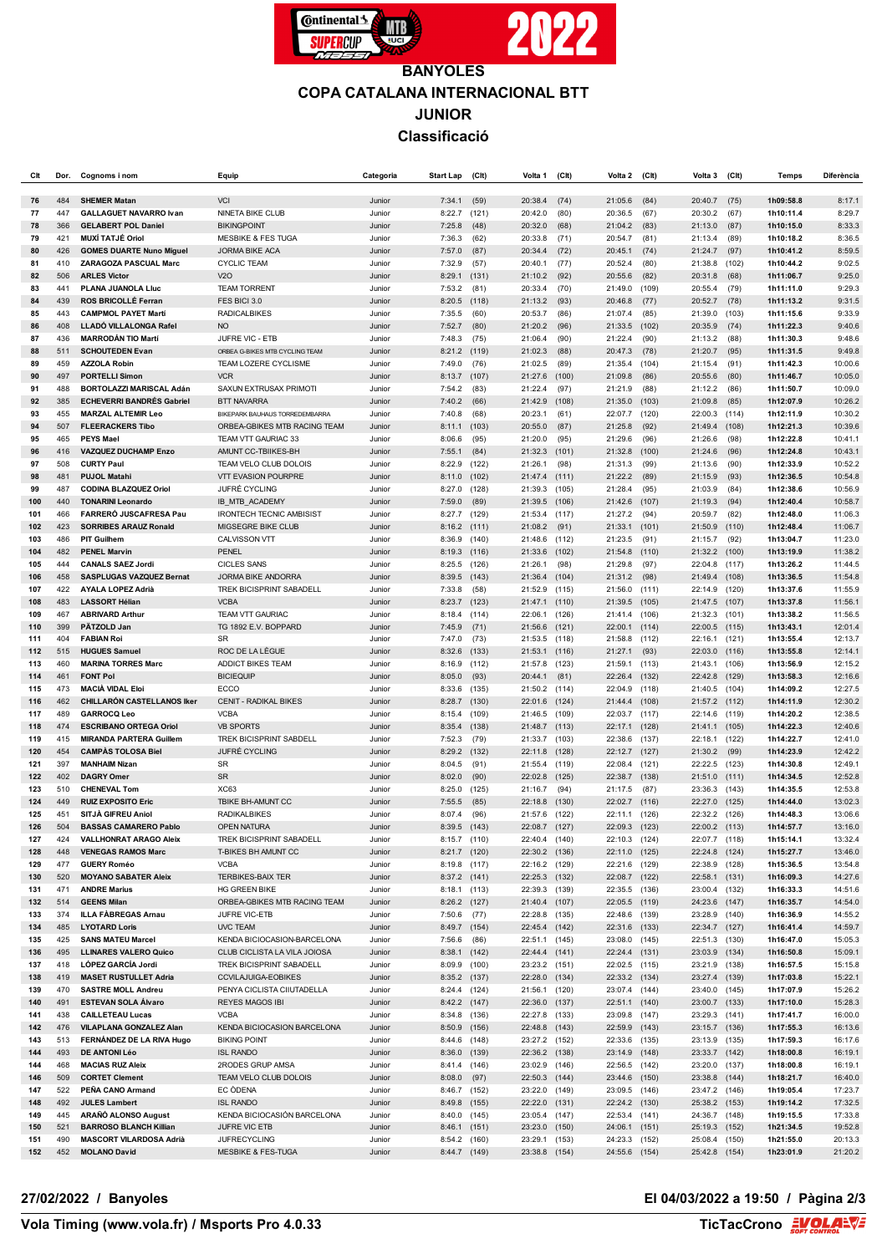

## **BANYOLES COPA CATALANA INTERNACIONAL BTT JUNIOR Classificació**

| СIt        | Dor.       | Cognoms i nom                                          | Equip                                                    | Categoria        | <b>Start Lap</b>             | (C <sub>It</sub> ) | Volta 1                        | (C <sup>H</sup> ) | Volta 2                        | (C <sub>l</sub> ) | Volta 3                        | $($ Clt $)$    | <b>Temps</b>           | Diferència         |
|------------|------------|--------------------------------------------------------|----------------------------------------------------------|------------------|------------------------------|--------------------|--------------------------------|-------------------|--------------------------------|-------------------|--------------------------------|----------------|------------------------|--------------------|
| 76         | 484        | <b>SHEMER Matan</b>                                    | <b>VCI</b>                                               | Junior           | 7:34.1                       | (59)               | 20:38.4                        | (74)              | 21:05.6                        | (84)              | 20:40.7                        | (75)           | 1h09:58.8              | 8:17.1             |
| 77         | 447        | <b>GALLAGUET NAVARRO Ivan</b>                          | NINETA BIKE CLUB                                         | Junior           | 8:22.7                       | (121)              | 20:42.0                        | (80)              | 20:36.5                        | (67)              | 20:30.2                        | (67)           | 1h10:11.4              | 8:29.7             |
| 78         | 366        | <b>GELABERT POL Daniel</b>                             | <b>BIKINGPOINT</b>                                       | Junior           | 7:25.8                       | (48)               | 20:32.0                        | (68)              | 21:04.2                        | (83)              | 21:13.0                        | (87)           | 1h10:15.0              | 8:33.3             |
| 79         | 421        | <b>MUXÍ TATJÉ Oriol</b>                                | <b>MESBIKE &amp; FES TUGA</b>                            | Junior           | 7:36.3                       | (62)               | 20:33.8                        | (71)              | 20:54.7                        | (81)              | 21:13.4                        | (89)           | 1h10:18.2              | 8:36.5             |
| 80         | 426        | <b>GOMES DUARTE Nuno Miguel</b>                        | <b>JORMA BIKE ACA</b>                                    | Junior           | 7:57.0                       | (87)               | 20:34.4                        | (72)              | 20:45.1                        | (74)              | 21:24.7                        | (97)           | 1h10:41.2              | 8:59.5             |
| 81         | 410        | ZARAGOZA PASCUAL Marc                                  | <b>CYCLIC TEAM</b>                                       | Junior           | 7:32.9                       | (57)               | 20:40.1                        | (77)              | 20:52.4                        | (80)              | 21:38.8                        | (102)          | 1h10:44.2              | 9:02.5             |
| 82         | 506        | <b>ARLES Victor</b>                                    | V2O                                                      | Junior           | 8:29.1                       | (131)              | 21:10.2                        | (92)              | 20:55.6                        | (82)              | 20:31.8                        | (68)           | 1h11:06.7              | 9:25.0             |
| 83         | 441        | PLANA JUANOLA Lluc                                     | <b>TEAM TORRENT</b>                                      | Junior           | 7:53.2                       | (81)               | 20:33.4                        | (70)              | 21:49.0                        | (109)             | 20:55.4                        | (79)           | 1h11:11.0              | 9:29.3             |
| 84         | 439        | ROS BRICOLLÉ Ferran                                    | FES BICI 3.0                                             | Junior           | 8:20.5                       | (118)              | 21:13.2                        | (93)              | 20:46.8                        | (77)              | 20:52.7                        | (78)           | 1h11:13.2              | 9:31.5             |
| 85         | 443        | <b>CAMPMOL PAYET Martí</b>                             | <b>RADICALBIKES</b>                                      | Junior           | 7:35.5                       | (60)               | 20:53.7                        | (86)              | 21:07.4                        | (85)              | 21:39.0                        | (103)          | 1h11:15.6              | 9:33.9             |
| 86         | 408        | LLADO VILLALONGA Rafel                                 | <b>NO</b>                                                | Junior           | 7:52.7                       | (80)               | 21:20.2                        | (96)              | 21:33.5                        | (102)             | 20:35.9                        | (74)           | 1h11:22.3              | 9:40.6             |
| 87         | 436        | <b>MARRODÁN TIO Martí</b>                              | JUFRE VIC - ETB                                          | Junior           | 7:48.3                       | (75)               | 21:06.4                        | (90)              | 21:22.4                        | (90)              | 21:13.2                        | (88)           | 1h11:30.3              | 9:48.6             |
| 88         | 511        | <b>SCHOUTEDEN Evan</b><br><b>AZZOLA Robin</b>          | ORBEA G-BIKES MTB CYCLING TEAM                           | Junior           | 8:21.2                       | (119)              | 21:02.3                        | (88)              | 20:47.3                        | (78)              | 21:20.7                        | (95)           | 1h11:31.5              | 9:49.8             |
| 89<br>90   | 459<br>497 | <b>PORTELLI Simon</b>                                  | TEAM LOZERE CYCLISME<br><b>VCR</b>                       | Junior<br>Junior | 7:49.0<br>8:13.7             | (76)<br>(107)      | 21:02.5<br>21:27.6             | (89)<br>(100)     | 21:35.4<br>21:09.8             | (104)<br>(86)     | 21:15.4<br>20:55.6             | (91)<br>(80)   | 1h11:42.3<br>1h11:46.7 | 10:00.6<br>10:05.0 |
| 91         | 488        | <b>BORTOLAZZI MARISCAL Adán</b>                        | SAXUN EXTRUSAX PRIMOTI                                   | Junior           | 7:54.2                       | (83)               | 21:22.4                        | (97)              | 21:21.9                        | (88)              | 21:12.2                        | (86)           | 1h11:50.7              | 10:09.0            |
| 92         | 385        | <b>ECHEVERRI BANDRÉS Gabriel</b>                       | <b>BTT NAVARRA</b>                                       | Junior           | 7:40.2                       | (66)               | 21:42.9                        | (108)             | 21:35.0                        | (103)             | 21:09.8                        | (85)           | 1h12:07.9              | 10:26.2            |
| 93         | 455        | <b>MARZAL ALTEMIR Leo</b>                              | BIKEPARK BAUHAUS TORREDEMBARRA                           | Junior           | 7:40.8                       | (68)               | 20:23.1                        | (61)              | 22:07.7                        | (120)             | 22:00.3                        | (114)          | 1h12:11.9              | 10:30.2            |
| 94         | 507        | <b>FLEERACKERS Tibo</b>                                | ORBEA-GBIKES MTB RACING TEAM                             | Junior           | 8:11.1                       | (103)              | 20:55.0                        | (87)              | 21:25.8                        | (92)              | 21:49.4                        | (108)          | 1h12:21.3              | 10:39.6            |
| 95         | 465        | <b>PEYS Mael</b>                                       | TEAM VTT GAURIAC 33                                      | Junior           | 8:06.6                       | (95)               | 21:20.0                        | (95)              | 21:29.6                        | (96)              | 21:26.6                        | (98)           | 1h12:22.8              | 10:41.1            |
| 96         | 416        | <b>VAZQUEZ DUCHAMP Enzo</b>                            | AMUNT CC-TBIIKES-BH                                      | Junior           | 7:55.1                       | (84)               | 21:32.3                        | (101)             | 21:32.8                        | (100)             | 21:24.6                        | (96)           | 1h12:24.8              | 10:43.1            |
| 97         | 508        | <b>CURTY Paul</b>                                      | TEAM VELO CLUB DOLOIS                                    | Junior           | 8:22.9                       | (122)              | 21:26.1                        | (98)              | 21:31.3                        | (99)              | 21:13.6                        | (90)           | 1h12:33.9              | 10:52.2            |
| 98         | 481        | <b>PUJOL Matahi</b>                                    | <b>VTT EVASION POURPRE</b>                               | Junior           | 8:11.0                       | (102)              | 21:47.4                        | (111)             | 21:22.2                        | (89)              | 21:15.9                        | (93)           | 1h12:36.5              | 10:54.8            |
| 99         | 487        | <b>CODINA BLAZQUEZ Oriol</b>                           | JUFRÉ CYCLING                                            | Junior           | 8:27.0                       | (128)              | 21:39.3                        | (105)             | 21:28.4                        | (95)              | 21:03.9                        | (84)           | 1h12:38.6              | 10:56.9            |
| 100        | 440        | <b>TONARINI Leonardo</b>                               | IB MTB ACADEMY                                           | Junior           | 7:59.0                       | (89)               | 21:39.5                        | (106)             | 21:42.6                        | (107)             | 21:19.3                        | (94)           | 1h12:40.4              | 10:58.7            |
| 101<br>102 | 466<br>423 | FARRERÓ JUSCAFRESA Pau<br><b>SORRIBES ARAUZ Ronald</b> | <b>IRONTECH TECNIC AMBISIST</b><br>MIGSEGRE BIKE CLUB    | Junior<br>Junior | 8:27.7                       | (129)              | 21:53.4<br>21:08.2             | (117)<br>(91)     | 21:27.2<br>21:33.1             | (94)<br>(101)     | 20:59.7<br>21:50.9             | (82)           | 1h12:48.0<br>1h12:48.4 | 11:06.3<br>11:06.7 |
| 103        | 486        | <b>PIT Guilhem</b>                                     | CALVISSON VTT                                            | Junior           | 8:16.2<br>8:36.9             | (111)<br>(140)     | 21:48.6                        | (112)             | 21:23.5                        | (91)              | 21:15.7                        | (110)<br>(92)  | 1h13:04.7              | 11:23.0            |
| 104        | 482        | <b>PENEL Marvin</b>                                    | PENEL                                                    | Junior           | 8:19.3                       | (116)              | 21:33.6                        | (102)             | 21:54.8                        | (110)             | 21:32.2                        | (100)          | 1h13:19.9              | 11:38.2            |
| 105        | 444        | <b>CANALS SAEZ Jordi</b>                               | <b>CICLES SANS</b>                                       | Junior           | 8:25.5                       | (126)              | 21:26.1                        | (98)              | 21:29.8                        | (97)              | 22:04.8                        | (117)          | 1h13:26.2              | 11:44.5            |
| 106        | 458        | <b>SASPLUGAS VAZQUEZ Bernat</b>                        | JORMA BIKE ANDORRA                                       | Junior           | 8:39.5                       | (143)              | 21:36.4                        | (104)             | 21:31.2                        | (98)              | 21:49.4 (108)                  |                | 1h13:36.5              | 11:54.8            |
| 107        | 422        | <b>AYALA LOPEZ Adrià</b>                               | <b>TREK BICISPRINT SABADELL</b>                          | Junior           | 7:33.8                       | (58)               | 21:52.9 (115)                  |                   | 21:56.0                        | (111)             | 22:14.9 (120)                  |                | 1h13:37.6              | 11:55.9            |
| 108        | 483        | <b>LASSORT Hélian</b>                                  | <b>VCBA</b>                                              | Junior           | 8:23.7                       | (123)              | 21:47.1                        | (110)             | 21:39.5                        | (105)             | 21:47.5 (107)                  |                | 1h13:37.8              | 11:56.1            |
| 109        | 467        | <b>ABRIVARD Arthur</b>                                 | TEAM VTT GAURIAC                                         | Junior           | 8:18.4                       | (114)              | 22:06.1                        | (126)             | 21:41.4                        | (106)             | 21:32.3                        | (101)          | 1h13:38.2              | 11:56.5            |
| 110        | 399        | PÄTZOLD Jan                                            | TG 1892 E.V. BOPPARD                                     | Junior           | 7:45.9                       | (71)               | 21:56.6                        | (121)             | 22:00.1                        | (114)             | 22:00.5 (115)                  |                | 1h13:43.1              | 12:01.4            |
| 111        | 404        | <b>FABIAN Roi</b>                                      | SR                                                       | Junior           | 7:47.0                       | (73)               | 21:53.5                        | (118)             | 21:58.8                        | (112)             | 22:16.1                        | (121)          | 1h13:55.4              | 12:13.7            |
| 112        | 515        | <b>HUGUES Samuel</b>                                   | ROC DE LA LÈGUE                                          | Junior           | 8:32.6                       | (133)              | 21:53.1                        | (116)             | 21:27.1                        | (93)              | 22:03.0 (116)                  |                | 1h13:55.8              | 12:14.1            |
| 113<br>114 | 460<br>461 | <b>MARINA TORRES Marc</b><br><b>FONT Pol</b>           | ADDICT BIKES TEAM<br><b>BICIEQUIP</b>                    | Junior<br>Junior | 8:16.9<br>8:05.0             | (112)<br>(93)      | 21:57.8<br>20:44.1             | (123)<br>(81)     | 21:59.1<br>22:26.4             | (113)<br>(132)    | 21:43.1<br>22:42.8 (129)       | (106)          | 1h13:56.9<br>1h13:58.3 | 12:15.2<br>12:16.6 |
| 115        | 473        | <b>MACIÀ VIDAL Eloi</b>                                | ECCO                                                     | Junior           | 8:33.6                       | (135)              | 21:50.2 (114)                  |                   | 22:04.9                        | (118)             | 21:40.5 (104)                  |                | 1h14:09.2              | 12:27.5            |
| 116        | 462        | CHILLARÓN CASTELLANOS Iker                             | <b>CENIT - RADIKAL BIKES</b>                             | Junior           | 8:28.7                       | (130)              | 22:01.6                        | (124)             | 21:44.4                        | (108)             | 21:57.2 (112)                  |                | 1h14:11.9              | 12:30.2            |
| 117        | 489        | <b>GARROCQ Leo</b>                                     | <b>VCBA</b>                                              | Junior           | 8:15.4                       | (109)              | 21:46.5 (109)                  |                   | 22:03.7                        | (117)             | 22:14.6 (119)                  |                | 1h14:20.2              | 12:38.5            |
| 118        | 474        | <b>ESCRIBANO ORTEGA Oriol</b>                          | <b>VB SPORTS</b>                                         | Junior           | 8:35.4                       | (138)              | 21:48.7                        | (113)             | 22:17.1                        | (128)             | 21:41.1                        | (105)          | 1h14:22.3              | 12:40.6            |
| 119        | 415        | <b>MIRANDA PARTERA Guillem</b>                         | TREK BICISPRINT SABDELL                                  | Junior           | 7:52.3                       | (79)               | 21:33.7 (103)                  |                   | 22:38.6                        | (137)             | 22:18.1                        | (122)          | 1h14:22.7              | 12:41.0            |
| 120        | 454        | <b>CAMPAS TOLOSA Biel</b>                              | JUFRÉ CYCLING                                            | Junior           | 8:29.2                       | (132)              | 22:11.8                        | (128)             | 22:12.7                        | (127)             | 21:30.2                        | (99)           | 1h14:23.9              | 12:42.2            |
| 121        | 397        | <b>MANHAIM Nizan</b>                                   | SR                                                       | Junior           | 8:04.5                       | (91)               | 21:55.4                        | (119)             | 22:08.4                        | (121)             | 22:22.5 (123)                  |                | 1h14:30.8              | 12:49.1            |
| 122        | 402        | <b>DAGRY Omer</b>                                      | <b>SR</b>                                                | Junior           | 8:02.0                       | (90)               | 22:02.8                        | (125)             | 22:38.7                        | (138)             | 21:51.0                        | (111)          | 1h14:34.5              | 12:52.8            |
| 123<br>124 | 510<br>449 | <b>CHENEVAL Tom</b><br><b>RUIZ EXPOSITO Eric</b>       | <b>XC63</b><br>TBIKE BH-AMUNT CC                         | Junior<br>Junior | 8:25.0                       | (125)<br>(85)      | 21:16.7<br>22:18.8             | (94)<br>(130)     | 21:17.5<br>22:02.7             | (87)<br>(116)     | 23:36.3<br>22:27.0             | (143)<br>(125) | 1h14:35.5<br>1h14:44.0 | 12:53.8<br>13:02.3 |
| 125        | 451        | SITJÀ GIFREU Aniol                                     | <b>RADIKALBIKES</b>                                      | Junior           | 7:55.5<br>8:07.4             | (96)               | 21:57.6 (122)                  |                   | 22:11.1                        | (126)             | 22:32.2 (126)                  |                | 1h14:48.3              | 13:06.6            |
| 126        | 504        | <b>BASSAS CAMARERO Pablo</b>                           | <b>OPEN NATURA</b>                                       | Junior           | 8:39.5                       | (143)              | 22:08.7 (127)                  |                   | 22:09.3                        | (123)             | 22:00.2 (113)                  |                | 1h14:57.7              | 13:16.0            |
| 127        | 424        | <b>VALLHONRAT ARAGO Aleix</b>                          | TREK BICISPRINT SABADELL                                 | Junior           | 8:15.7 (110)                 |                    | 22:40.4 (140)                  |                   | 22:10.3 (124)                  |                   | 22:07.7 (118)                  |                | 1h15:14.1              | 13:32.4            |
| 128        | 448        | <b>VENEGAS RAMOS Marc</b>                              | T-BIKES BH AMUNT CC                                      | Junior           | 8:21.7 (120)                 |                    | 22:30.2 (136)                  |                   | 22:11.0 (125)                  |                   | 22:24.8 (124)                  |                | 1h15:27.7              | 13:46.0            |
| 129        | 477        | <b>GUERY Roméo</b>                                     | <b>VCBA</b>                                              | Junior           | 8:19.8 (117)                 |                    | 22:16.2 (129)                  |                   | 22:21.6 (129)                  |                   | 22:38.9 (128)                  |                | 1h15:36.5              | 13:54.8            |
| 130        | 520        | <b>MOYANO SABATER Aleix</b>                            | <b>TERBIKES-BAIX TER</b>                                 | Junior           | 8:37.2 (141)                 |                    | 22:25.3 (132)                  |                   | 22:08.7 (122)                  |                   | 22:58.1 (131)                  |                | 1h16:09.3              | 14:27.6            |
| 131        | 471        | <b>ANDRE Marius</b>                                    | <b>HG GREEN BIKE</b>                                     | Junior           | 8:18.1 (113)                 |                    | 22:39.3 (139)                  |                   | 22:35.5 (136)                  |                   | 23:00.4 (132)                  |                | 1h16:33.3              | 14:51.6            |
| 132        | 514        | <b>GEENS Milan</b>                                     | ORBEA-GBIKES MTB RACING TEAM                             | Junior           | 8:26.2 (127)                 |                    | 21:40.4 (107)                  |                   | 22:05.5 (119)                  |                   | 24:23.6 (147)                  |                | 1h16:35.7              | 14:54.0            |
| 133        | 374        | <b>ILLA FÀBREGAS Arnau</b>                             | JUFRE VIC-ETB                                            | Junior           | 7:50.6                       | (77)               | 22:28.8 (135)                  |                   | 22:48.6 (139)                  |                   | 23:28.9 (140)                  |                | 1h16:36.9              | 14:55.2            |
| 134        | 485        | <b>LYOTARD Loris</b>                                   | <b>UVC TEAM</b>                                          | Junior           | 8:49.7                       | (154)              | 22:45.4 (142)                  |                   | 22:31.6 (133)                  |                   | 22:34.7 (127)                  |                | 1h16:41.4              | 14:59.7            |
| 135        | 425        | <b>SANS MATEU Marcel</b>                               | KENDA BICIOCASION-BARCELONA                              | Junior           | 7:56.6                       | (86)               | 22:51.1 (145)                  |                   | 23:08.0 (145)                  |                   | 22:51.3 (130)                  |                | 1h16:47.0              | 15:05.3            |
| 136<br>137 | 495<br>418 | <b>LLINARES VALERO Quico</b><br>LÓPEZ GARCÍA Jordi     | CLUB CICLISTA LA VILA JOIOSA<br>TREK BICISPRINT SABADELL | Junior<br>Junior | 8:38.1<br>8:09.9 (100)       | (142)              | 22:44.4 (141)<br>23:23.2 (151) |                   | 22:24.4 (131)<br>22:02.5 (115) |                   | 23:03.9 (134)<br>23:21.9 (138) |                | 1h16:50.8<br>1h16:57.5 | 15:09.1<br>15:15.8 |
| 138        | 419        | <b>MASET RUSTULLET Adria</b>                           | CCVILAJUIGA-EOBIKES                                      | Junior           | 8:35.2 (137)                 |                    | 22:28.0 (134)                  |                   | 22:33.2 (134)                  |                   | 23:27.4 (139)                  |                | 1h17:03.8              | 15:22.1            |
| 139        | 470        | <b>SASTRE MOLL Andreu</b>                              | PENYA CICLISTA CIIUTADELLA                               | Junior           | 8:24.4 (124)                 |                    | 21:56.1 (120)                  |                   | 23:07.4 (144)                  |                   | 23:40.0 (145)                  |                | 1h17:07.9              | 15:26.2            |
| 140        | 491        | <b>ESTEVAN SOLA Álvaro</b>                             | <b>REYES MAGOS IBI</b>                                   | Junior           | 8:42.2 (147)                 |                    | 22:36.0 (137)                  |                   | 22:51.1 (140)                  |                   | 23:00.7 (133)                  |                | 1h17:10.0              | 15:28.3            |
| 141        | 438        | <b>CAILLETEAU Lucas</b>                                | <b>VCBA</b>                                              | Junior           | 8:34.8 (136)                 |                    | 22:27.8 (133)                  |                   | 23:09.8 (147)                  |                   | 23:29.3 (141)                  |                | 1h17:41.7              | 16:00.0            |
| 142        | 476        | VILAPLANA GONZALEZ Alan                                | KENDA BICIOCASION BARCELONA                              | Junior           | 8:50.9                       | (156)              | 22:48.8 (143)                  |                   | 22:59.9 (143)                  |                   | 23:15.7 (136)                  |                | 1h17:55.3              | 16:13.6            |
| 143        | 513        | FERNÁNDEZ DE LA RIVA Hugo                              | <b>BIKING POINT</b>                                      | Junior           | 8:44.6 (148)                 |                    | 23:27.2 (152)                  |                   | 22:33.6 (135)                  |                   | 23:13.9 (135)                  |                | 1h17:59.3              | 16:17.6            |
| 144        | 493        | DE ANTONI Léo                                          | <b>ISL RANDO</b>                                         | Junior           | 8:36.0                       | (139)              | 22:36.2 (138)                  |                   | 23:14.9 (148)                  |                   | 23:33.7 (142)                  |                | 1h18:00.8              | 16:19.1            |
| 144        | 468        | <b>MACIAS RUZ Aleix</b>                                | 2RODES GRUP AMSA                                         | Junior           | 8:41.4                       | (146)              | 23:02.9 (146)                  |                   | 22:56.5 (142)                  |                   | 23:20.0 (137)                  |                | 1h18:00.8              | 16:19.1            |
| 146        | 509        | <b>CORTET Clement</b>                                  | TEAM VELO CLUB DOLOIS                                    | Junior           | 8:08.0                       | (97)               | 22:50.3 (144)                  |                   | 23:44.6 (150)                  |                   | 23:38.8 (144)                  |                | 1h18:21.7              | 16:40.0            |
| 147        | 522        | PEÑA CANO Armand                                       | EC ODENA                                                 | Junior           | 8:46.7                       | (152)              | 23:22.0 (149)                  |                   | 23:09.5 (146)                  |                   | 23:47.2 (146)                  |                | 1h19:05.4              | 17:23.7            |
| 148        | 492<br>445 | <b>JULES Lambert</b><br>ARAÑÓ ALONSO August            | <b>ISL RANDO</b><br>KENDA BICIOCASIÓN BARCELONA          | Junior           | 8:49.8 (155)                 |                    | 22:22.0 (131)<br>23:05.4 (147) |                   | 22:24.2 (130)<br>22:53.4 (141) |                   | 25:38.2 (153)                  |                | 1h19:14.2              | 17:32.5<br>17:33.8 |
| 149<br>150 | 521        | <b>BARROSO BLANCH Killian</b>                          | JUFRE VIC ETB                                            | Junior<br>Junior | 8:40.0 (145)<br>8:46.1 (151) |                    | 23:23.0 (150)                  |                   | 24:06.1 (151)                  |                   | 24:36.7 (148)<br>25:19.3 (152) |                | 1h19:15.5<br>1h21:34.5 | 19:52.8            |
| 151        | 490        | <b>MASCORT VILARDOSA Adrià</b>                         | <b>JUFRECYCLING</b>                                      | Junior           | 8:54.2 (160)                 |                    | 23:29.1 (153)                  |                   | 24:23.3 (152)                  |                   | 25:08.4 (150)                  |                | 1h21:55.0              | 20:13.3            |
| 152        | 452        | <b>MOLANO David</b>                                    | <b>MESBIKE &amp; FES-TUGA</b>                            | Junior           | 8:44.7 (149)                 |                    | 23:38.8 (154)                  |                   | 24:55.6 (154)                  |                   | 25:42.8 (154)                  |                | 1h23:01.9              | 21:20.2            |
|            |            |                                                        |                                                          |                  |                              |                    |                                |                   |                                |                   |                                |                |                        |                    |

## **27/02/2022 / Banyoles El 04/03/2022 a 19:50 / Pàgina 2/3**